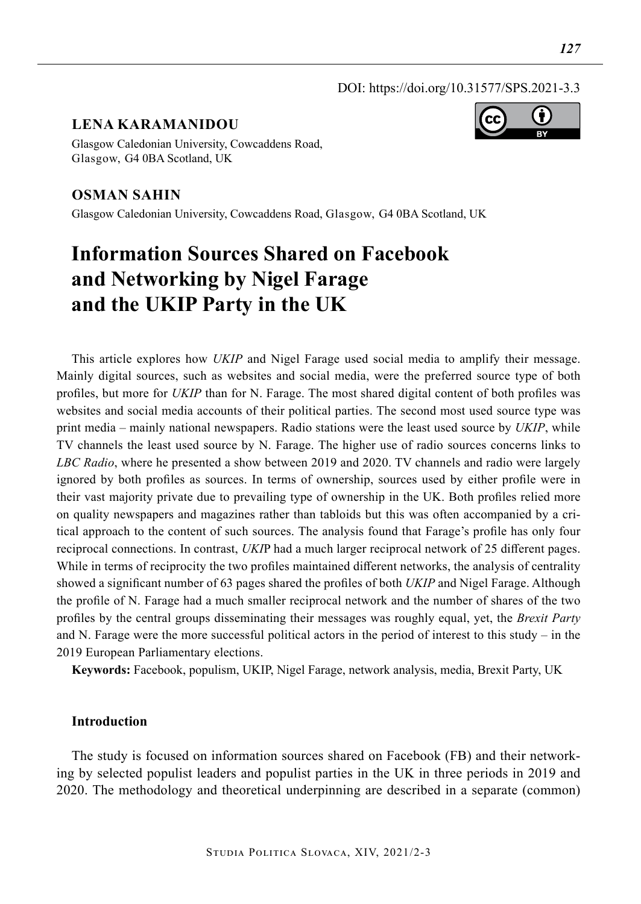### DOI: https://doi.org/10.31577/SPS.2021-3.3

## **LENA KARAMANIDOU**



Glasgow Caledonian University, Cowcaddens Road, Glasgow, G4 0BA Scotland, UK

## **Osman Sahin**

Glasgow Caledonian University, Cowcaddens Road, Glasgow, G4 0BA Scotland, UK

# **Information Sources Shared on Facebook and Networking by Nigel Farage and the UKIP Party in the UK**

This article explores how *UKIP* and Nigel Farage used social media to amplify their message. Mainly digital sources, such as websites and social media, were the preferred source type of both profiles, but more for *UKIP* than for N. Farage. The most shared digital content of both profiles was websites and social media accounts of their political parties. The second most used source type was print media – mainly national newspapers. Radio stations were the least used source by *UKIP*, while TV channels the least used source by N. Farage. The higher use of radio sources concerns links to *LBC Radio*, where he presented a show between 2019 and 2020. TV channels and radio were largely ignored by both profiles as sources. In terms of ownership, sources used by either profile were in their vast majority private due to prevailing type of ownership in the UK. Both profiles relied more on quality newspapers and magazines rather than tabloids but this was often accompanied by a critical approach to the content of such sources. The analysis found that Farage's profile has only four reciprocal connections. In contrast, *UKI*P had a much larger reciprocal network of 25 different pages. While in terms of reciprocity the two profiles maintained different networks, the analysis of centrality showed a significant number of 63 pages shared the profiles of both *UKIP* and Nigel Farage. Although the profile of N. Farage had a much smaller reciprocal network and the number of shares of the two profiles by the central groups disseminating their messages was roughly equal, yet, the *Brexit Party* and N. Farage were the more successful political actors in the period of interest to this study – in the 2019 European Parliamentary elections.

**Keywords:** Facebook, populism, UKIP, Nigel Farage, network analysis, media, Brexit Party, UK

## **Introduction**

The study is focused on information sources shared on Facebook (FB) and their networking by selected populist leaders and populist parties in the UK in three periods in 2019 and 2020. The methodology and theoretical underpinning are described in a separate (common)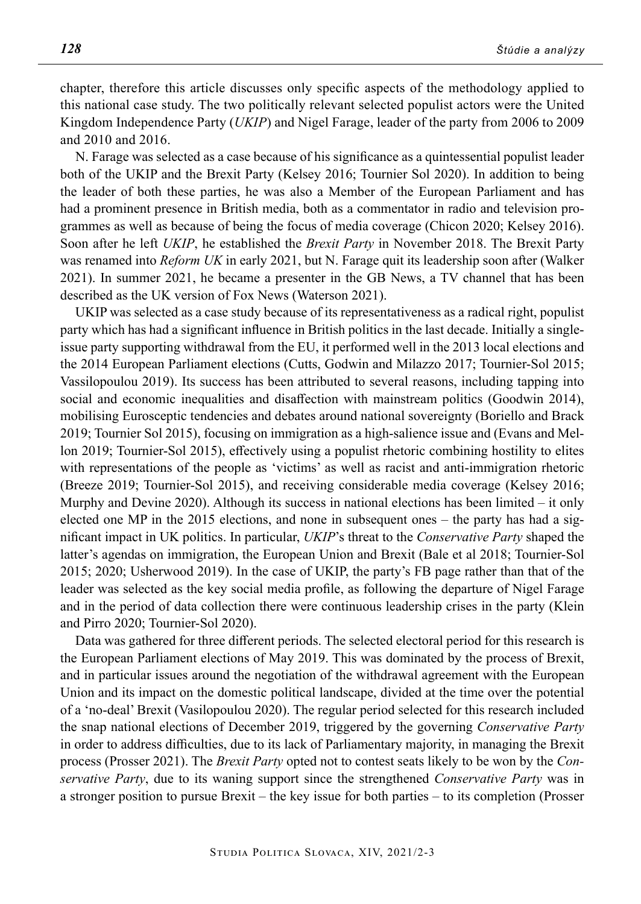chapter, therefore this article discusses only specific aspects of the methodology applied to this national case study. The two politically relevant selected populist actors were the United Kingdom Independence Party (*UKIP*) and Nigel Farage, leader of the party from 2006 to 2009 and 2010 and 2016.

N. Farage was selected as a case because of his significance as a quintessential populist leader both of the UKIP and the Brexit Party (Kelsey 2016; Tournier Sol 2020). In addition to being the leader of both these parties, he was also a Member of the European Parliament and has had a prominent presence in British media, both as a commentator in radio and television programmes as well as because of being the focus of media coverage (Chicon 2020; Kelsey 2016). Soon after he left *UKIP*, he established the *Brexit Party* in November 2018. The Brexit Party was renamed into *Reform UK* in early 2021, but N. Farage quit its leadership soon after (Walker 2021). In summer 2021, he became a presenter in the GB News, a TV channel that has been described as the UK version of Fox News (Waterson 2021).

UKIP was selected as a case study because of its representativeness as a radical right, populist party which has had a significant influence in British politics in the last decade. Initially a singleissue party supporting withdrawal from the EU, it performed well in the 2013 local elections and the 2014 European Parliament elections (Cutts, Godwin and Milazzo 2017; Tournier-Sol 2015; Vassilopoulou 2019). Its success has been attributed to several reasons, including tapping into social and economic inequalities and disaffection with mainstream politics (Goodwin 2014), mobilising Eurosceptic tendencies and debates around national sovereignty (Boriello and Brack 2019; Tournier Sol 2015), focusing on immigration as a high-salience issue and (Evans and Mellon 2019; Tournier-Sol 2015), effectively using a populist rhetoric combining hostility to elites with representations of the people as 'victims' as well as racist and anti-immigration rhetoric (Breeze 2019; Tournier-Sol 2015), and receiving considerable media coverage (Kelsey 2016; Murphy and Devine 2020). Although its success in national elections has been limited  $-$  it only elected one MP in the 2015 elections, and none in subsequent ones – the party has had a significant impact in UK politics. In particular, *UKIP*'s threat to the *Conservative Party* shaped the latter's agendas on immigration, the European Union and Brexit (Bale et al 2018; Tournier-Sol 2015; 2020; Usherwood 2019). In the case of UKIP, the party's FB page rather than that of the leader was selected as the key social media profile, as following the departure of Nigel Farage and in the period of data collection there were continuous leadership crises in the party (Klein and Pirro 2020; Tournier-Sol 2020).

Data was gathered for three different periods. The selected electoral period for this research is the European Parliament elections of May 2019. This was dominated by the process of Brexit, and in particular issues around the negotiation of the withdrawal agreement with the European Union and its impact on the domestic political landscape, divided at the time over the potential of a 'no-deal' Brexit (Vasilopoulou 2020). The regular period selected for this research included the snap national elections of December 2019, triggered by the governing *Conservative Party* in order to address difficulties, due to its lack of Parliamentary majority, in managing the Brexit process (Prosser 2021). The *Brexit Party* opted not to contest seats likely to be won by the *Conservative Party*, due to its waning support since the strengthened *Conservative Party* was in a stronger position to pursue Brexit – the key issue for both parties – to its completion (Prosser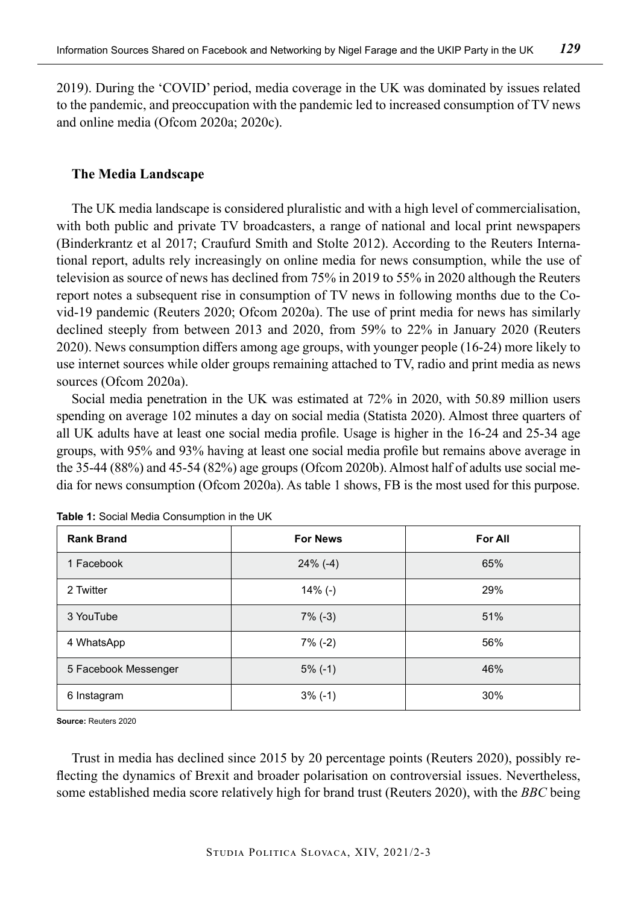2019). During the 'COVID' period, media coverage in the UK was dominated by issues related to the pandemic, and preoccupation with the pandemic led to increased consumption of TV news and online media (Ofcom 2020a; 2020c).

## **The Media Landscape**

The UK media landscape is considered pluralistic and with a high level of commercialisation, with both public and private TV broadcasters, a range of national and local print newspapers (Binderkrantz et al 2017; Craufurd Smith and Stolte 2012). According to the Reuters International report, adults rely increasingly on online media for news consumption, while the use of television as source of news has declined from 75% in 2019 to 55% in 2020 although the Reuters report notes a subsequent rise in consumption of TV news in following months due to the Covid-19 pandemic (Reuters 2020; Ofcom 2020a). The use of print media for news has similarly declined steeply from between 2013 and 2020, from 59% to 22% in January 2020 (Reuters 2020). News consumption differs among age groups, with younger people (16-24) more likely to use internet sources while older groups remaining attached to TV, radio and print media as news sources (Ofcom 2020a).

Social media penetration in the UK was estimated at 72% in 2020, with 50.89 million users spending on average 102 minutes a day on social media (Statista 2020). Almost three quarters of all UK adults have at least one social media profile. Usage is higher in the 16-24 and 25-34 age groups, with 95% and 93% having at least one social media profile but remains above average in the 35-44 (88%) and 45-54 (82%) age groups (Ofcom 2020b). Almost half of adults use social media for news consumption (Ofcom 2020a). As table 1 shows, FB is the most used for this purpose.

| <b>Rank Brand</b>    | <b>For News</b> | For All |
|----------------------|-----------------|---------|
| 1 Facebook           | $24\%$ (-4)     | 65%     |
| 2 Twitter            | $14\%$ (-)      | 29%     |
| 3 YouTube            | $7\%$ (-3)      | 51%     |
| 4 WhatsApp           | $7\%$ (-2)      | 56%     |
| 5 Facebook Messenger | $5\%$ (-1)      | 46%     |
| 6 Instagram          | $3\%$ (-1)      | 30%     |

**Table 1:** Social Media Consumption in the UK

**Source:** Reuters 2020

Trust in media has declined since 2015 by 20 percentage points (Reuters 2020), possibly reflecting the dynamics of Brexit and broader polarisation on controversial issues. Nevertheless, some established media score relatively high for brand trust (Reuters 2020), with the *BBC* being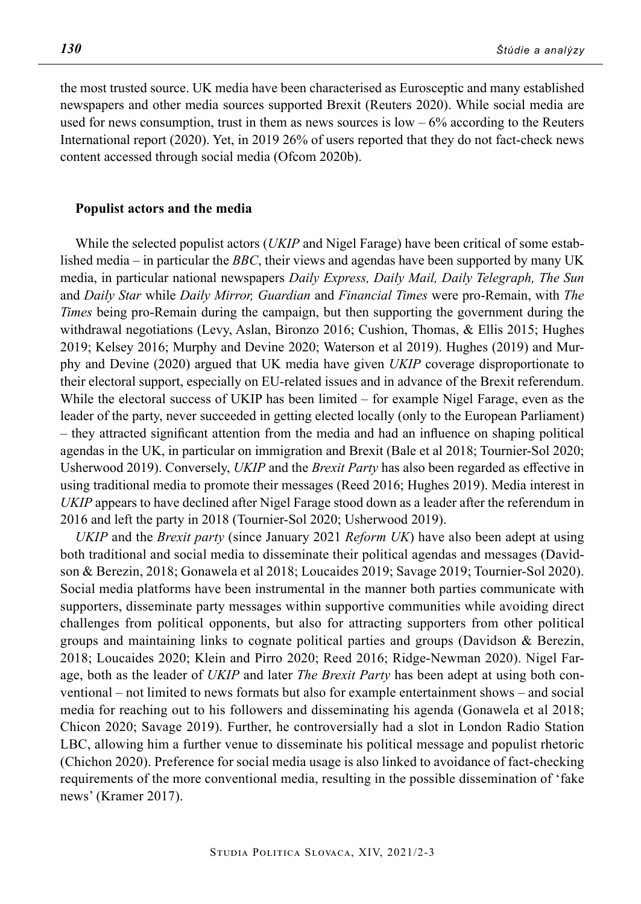the most trusted source. UK media have been characterised as Eurosceptic and many established newspapers and other media sources supported Brexit (Reuters 2020). While social media are used for news consumption, trust in them as news sources is  $low - 6\%$  according to the Reuters International report (2020). Yet, in 2019 26% of users reported that they do not fact-check news content accessed through social media (Ofcom 2020b).

#### **Populist actors and the media**

While the selected populist actors (*UKIP* and Nigel Farage) have been critical of some established media – in particular the *BBC*, their views and agendas have been supported by many UK media, in particular national newspapers *Daily Express, Daily Mail, Daily Telegraph, The Sun* and *Daily Star* while *Daily Mirror, Guardian* and *Financial Times* were pro-Remain, with *The Times* being pro-Remain during the campaign, but then supporting the government during the withdrawal negotiations (Levy, Aslan, Bironzo 2016; Cushion, Thomas, & Ellis 2015; Hughes 2019; Kelsey 2016; Murphy and Devine 2020; Waterson et al 2019). Hughes (2019) and Murphy and Devine (2020) argued that UK media have given *UKIP* coverage disproportionate to their electoral support, especially on EU-related issues and in advance of the Brexit referendum. While the electoral success of UKIP has been limited – for example Nigel Farage, even as the leader of the party, never succeeded in getting elected locally (only to the European Parliament) – they attracted significant attention from the media and had an influence on shaping political agendas in the UK, in particular on immigration and Brexit (Bale et al 2018; Tournier-Sol 2020; Usherwood 2019). Conversely, *UKIP* and the *Brexit Party* has also been regarded as effective in using traditional media to promote their messages (Reed 2016; Hughes 2019). Media interest in *UKIP* appears to have declined after Nigel Farage stood down as a leader after the referendum in 2016 and left the party in 2018 (Tournier-Sol 2020; Usherwood 2019).

*UKIP* and the *Brexit party* (since January 2021 *Reform UK*) have also been adept at using both traditional and social media to disseminate their political agendas and messages (Davidson & Berezin, 2018; Gonawela et al 2018; Loucaides 2019; Savage 2019; Tournier-Sol 2020). Social media platforms have been instrumental in the manner both parties communicate with supporters, disseminate party messages within supportive communities while avoiding direct challenges from political opponents, but also for attracting supporters from other political groups and maintaining links to cognate political parties and groups (Davidson & Berezin, 2018; Loucaides 2020; Klein and Pirro 2020; Reed 2016; Ridge-Newman 2020). Nigel Farage, both as the leader of *UKIP* and later *The Brexit Party* has been adept at using both conventional – not limited to news formats but also for example entertainment shows – and social media for reaching out to his followers and disseminating his agenda (Gonawela et al 2018; Chicon 2020; Savage 2019). Further, he controversially had a slot in London Radio Station LBC, allowing him a further venue to disseminate his political message and populist rhetoric (Chichon 2020). Preference for social media usage is also linked to avoidance of fact-checking requirements of the more conventional media, resulting in the possible dissemination of 'fake news' (Kramer 2017).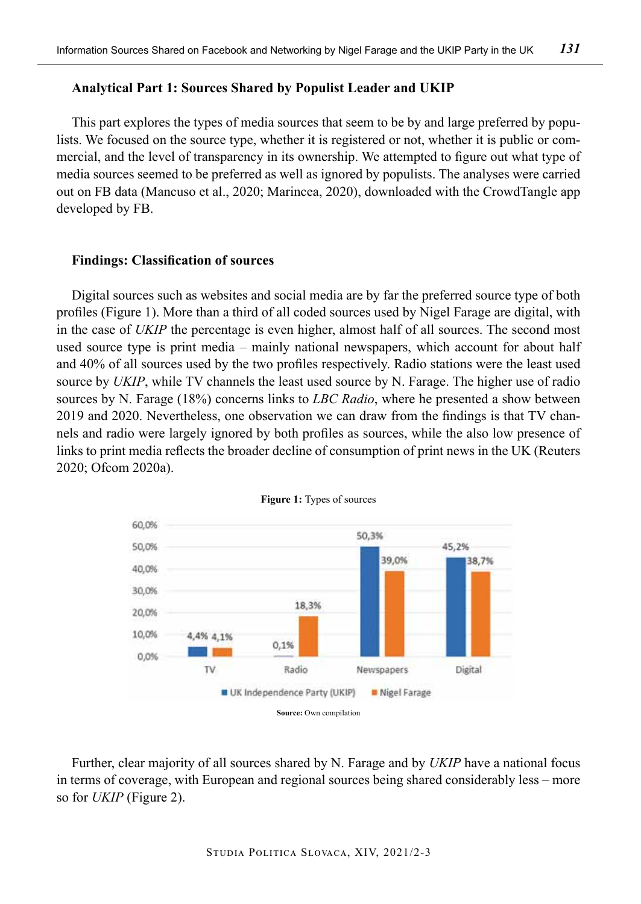## **Analytical Part 1: Sources Shared by Populist Leader and UKIP**

This part explores the types of media sources that seem to be by and large preferred by populists. We focused on the source type, whether it is registered or not, whether it is public or commercial, and the level of transparency in its ownership. We attempted to figure out what type of media sources seemed to be preferred as well as ignored by populists. The analyses were carried out on FB data (Mancuso et al., 2020; Marincea, 2020), downloaded with the CrowdTangle app developed by FB.

## **Findings: Classification of sources**

Digital sources such as websites and social media are by far the preferred source type of both profiles (Figure 1). More than a third of all coded sources used by Nigel Farage are digital, with in the case of *UKIP* the percentage is even higher, almost half of all sources. The second most used source type is print media – mainly national newspapers, which account for about half and 40% of all sources used by the two profiles respectively. Radio stations were the least used source by *UKIP*, while TV channels the least used source by N. Farage. The higher use of radio sources by N. Farage (18%) concerns links to *LBC Radio*, where he presented a show between 2019 and 2020. Nevertheless, one observation we can draw from the findings is that TV channels and radio were largely ignored by both profiles as sources, while the also low presence of links to print media reflects the broader decline of consumption of print news in the UK (Reuters 2020; Ofcom 2020a).





Further, clear majority of all sources shared by N. Farage and by *UKIP* have a national focus in terms of coverage, with European and regional sources being shared considerably less – more so for *UKIP* (Figure 2).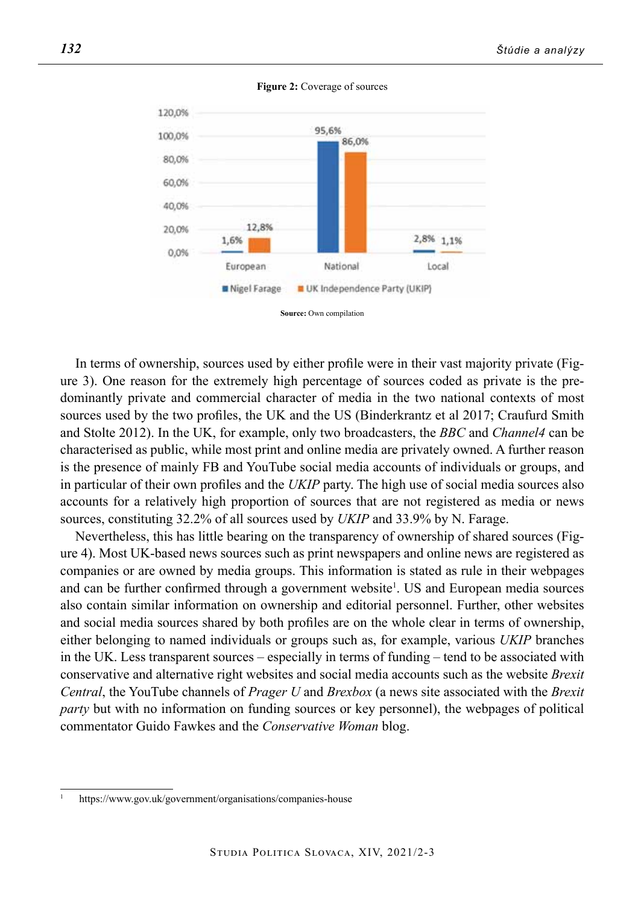

**Figure 2:** Coverage of sources

In terms of ownership, sources used by either profile were in their vast majority private (Figure 3). One reason for the extremely high percentage of sources coded as private is the predominantly private and commercial character of media in the two national contexts of most sources used by the two profiles, the UK and the US (Binderkrantz et al 2017; Craufurd Smith and Stolte 2012). In the UK, for example, only two broadcasters, the *BBC* and *Channel4* can be characterised as public, while most print and online media are privately owned. A further reason is the presence of mainly FB and YouTube social media accounts of individuals or groups, and in particular of their own profiles and the *UKIP* party. The high use of social media sources also accounts for a relatively high proportion of sources that are not registered as media or news sources, constituting 32.2% of all sources used by *UKIP* and 33.9% by N. Farage.

Nevertheless, this has little bearing on the transparency of ownership of shared sources (Figure 4). Most UK-based news sources such as print newspapers and online news are registered as companies or are owned by media groups. This information is stated as rule in their webpages and can be further confirmed through a government website<sup>1</sup>. US and European media sources also contain similar information on ownership and editorial personnel. Further, other websites and social media sources shared by both profiles are on the whole clear in terms of ownership, either belonging to named individuals or groups such as, for example, various *UKIP* branches in the UK. Less transparent sources – especially in terms of funding – tend to be associated with conservative and alternative right websites and social media accounts such as the website *Brexit Central*, the YouTube channels of *Prager U* and *Brexbox* (a news site associated with the *Brexit party* but with no information on funding sources or key personnel), the webpages of political commentator Guido Fawkes and the *Conservative Woman* blog.

**Source:** Own compilation

<sup>1</sup> https://www.gov.uk/government/organisations/companies-house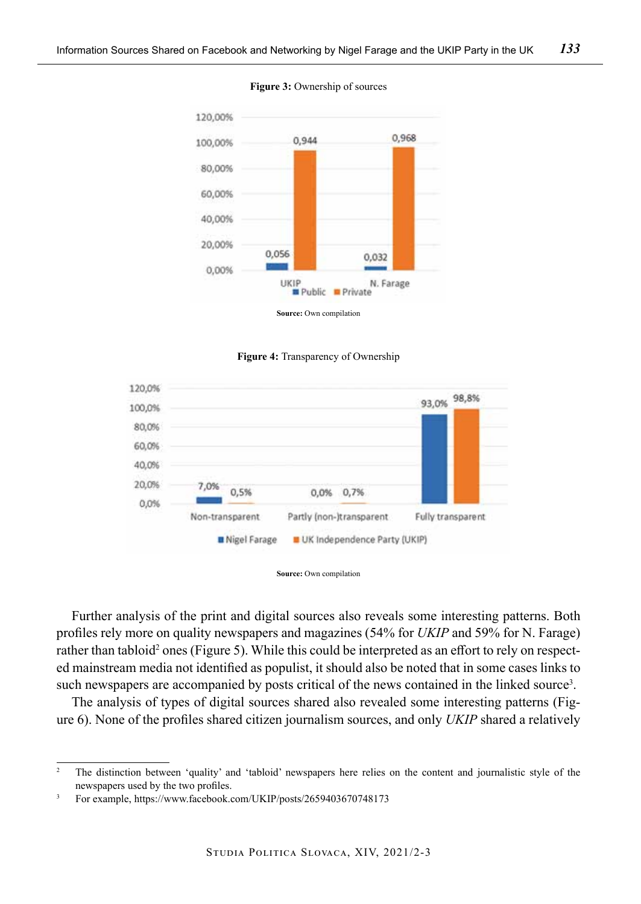

#### **Figure 3:** Ownership of sources







Further analysis of the print and digital sources also reveals some interesting patterns. Both profiles rely more on quality newspapers and magazines (54% for *UKIP* and 59% for N. Farage) rather than tabloid<sup>2</sup> ones (Figure 5). While this could be interpreted as an effort to rely on respected mainstream media not identified as populist, it should also be noted that in some cases links to such newspapers are accompanied by posts critical of the news contained in the linked source<sup>3</sup>.

The analysis of types of digital sources shared also revealed some interesting patterns (Figure 6). None of the profiles shared citizen journalism sources, and only *UKIP* shared a relatively

<sup>&</sup>lt;sup>2</sup> The distinction between 'quality' and 'tabloid' newspapers here relies on the content and journalistic style of the newspapers used by the two profiles.

<sup>3</sup> For example, https://www.facebook.com/UKIP/posts/2659403670748173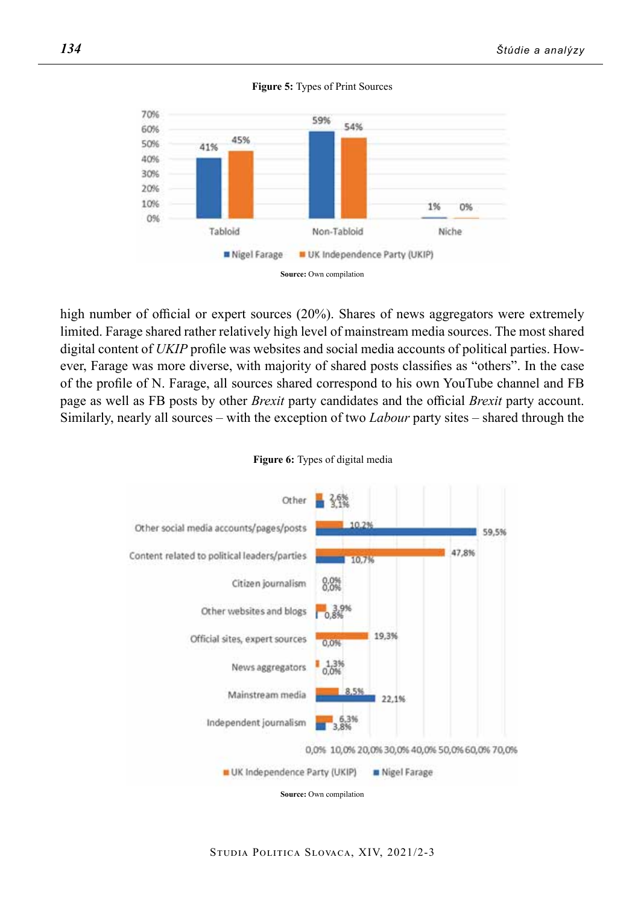



high number of official or expert sources (20%). Shares of news aggregators were extremely limited. Farage shared rather relatively high level of mainstream media sources. The most shared digital content of *UKIP* profile was websites and social media accounts of political parties. However, Farage was more diverse, with majority of shared posts classifies as "others". In the case of the profile of N. Farage, all sources shared correspond to his own YouTube channel and FB page as well as FB posts by other *Brexit* party candidates and the official *Brexit* party account. Similarly, nearly all sources – with the exception of two *Labour* party sites – shared through the



#### **Figure 6:** Types of digital media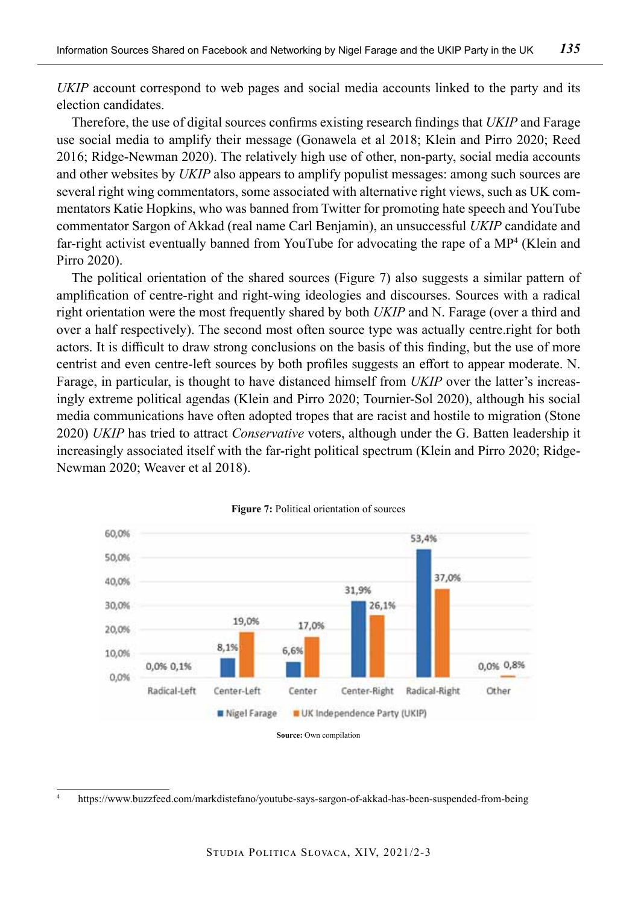*UKIP* account correspond to web pages and social media accounts linked to the party and its election candidates.

Therefore, the use of digital sources confirms existing research findings that *UKIP* and Farage use social media to amplify their message (Gonawela et al 2018; Klein and Pirro 2020; Reed 2016; Ridge-Newman 2020). The relatively high use of other, non-party, social media accounts and other websites by *UKIP* also appears to amplify populist messages: among such sources are several right wing commentators, some associated with alternative right views, such as UK commentators Katie Hopkins, who was banned from Twitter for promoting hate speech and YouTube commentator Sargon of Akkad (real name Carl Benjamin), an unsuccessful *UKIP* candidate and far-right activist eventually banned from YouTube for advocating the rape of a MP<sup>4</sup> (Klein and Pirro 2020).

The political orientation of the shared sources (Figure 7) also suggests a similar pattern of amplification of centre-right and right-wing ideologies and discourses. Sources with a radical right orientation were the most frequently shared by both *UKIP* and N. Farage (over a third and over a half respectively). The second most often source type was actually centre.right for both actors. It is difficult to draw strong conclusions on the basis of this finding, but the use of more centrist and even centre-left sources by both profiles suggests an effort to appear moderate. N. Farage, in particular, is thought to have distanced himself from *UKIP* over the latter's increasingly extreme political agendas (Klein and Pirro 2020; Tournier-Sol 2020), although his social media communications have often adopted tropes that are racist and hostile to migration (Stone 2020) *UKIP* has tried to attract *Conservative* voters, although under the G. Batten leadership it increasingly associated itself with the far-right political spectrum (Klein and Pirro 2020; Ridge-Newman 2020; Weaver et al 2018).





**Source:** Own compilation

<sup>4</sup> https://www.buzzfeed.com/markdistefano/youtube-says-sargon-of-akkad-has-been-suspended-from-being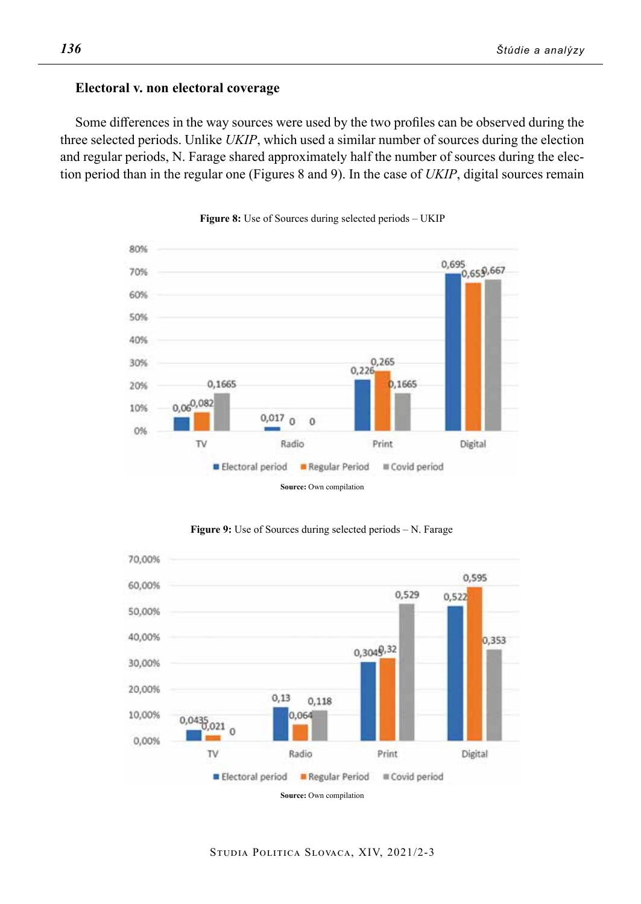## **Electoral v. non electoral coverage**

Some differences in the way sources were used by the two profiles can be observed during the three selected periods. Unlike *UKIP*, which used a similar number of sources during the election and regular periods, N. Farage shared approximately half the number of sources during the election period than in the regular one (Figures 8 and 9). In the case of *UKIP*, digital sources remain



Figure 8: Use of Sources during selected periods – UKIP



**Figure 9:** Use of Sources during selected periods – N. Farage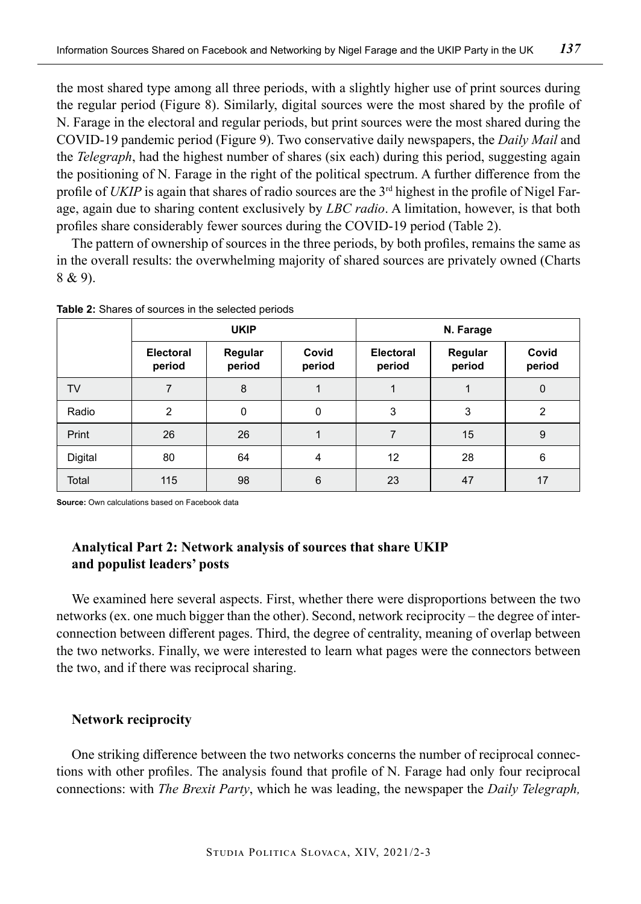the most shared type among all three periods, with a slightly higher use of print sources during the regular period (Figure 8). Similarly, digital sources were the most shared by the profile of N. Farage in the electoral and regular periods, but print sources were the most shared during the COVID-19 pandemic period (Figure 9). Two conservative daily newspapers, the *Daily Mail* and the *Telegraph*, had the highest number of shares (six each) during this period, suggesting again the positioning of N. Farage in the right of the political spectrum. A further difference from the profile of *UKIP* is again that shares of radio sources are the 3<sup>rd</sup> highest in the profile of Nigel Farage, again due to sharing content exclusively by *LBC radio*. A limitation, however, is that both profiles share considerably fewer sources during the COVID-19 period (Table 2).

The pattern of ownership of sources in the three periods, by both profiles, remains the same as in the overall results: the overwhelming majority of shared sources are privately owned (Charts 8 & 9).

|         | <b>UKIP</b>         |                   |                 | N. Farage           |                   |                 |
|---------|---------------------|-------------------|-----------------|---------------------|-------------------|-----------------|
|         | Electoral<br>period | Regular<br>period | Covid<br>period | Electoral<br>period | Regular<br>period | Covid<br>period |
| TV      | 7                   | 8                 |                 |                     |                   | $\mathbf{0}$    |
| Radio   | $\overline{2}$      | 0                 | 0               | 3                   | 3                 | 2               |
| Print   | 26                  | 26                |                 | 7                   | 15                | 9               |
| Digital | 80                  | 64                | 4               | 12                  | 28                | 6               |
| Total   | 115                 | 98                | 6               | 23                  | 47                | 17              |

**Table 2:** Shares of sources in the selected periods

**Source:** Own calculations based on Facebook data

# **Analytical Part 2: Network analysis of sources that share UKIP and populist leaders' posts**

We examined here several aspects. First, whether there were disproportions between the two networks (ex. one much bigger than the other). Second, network reciprocity – the degree of interconnection between different pages. Third, the degree of centrality, meaning of overlap between the two networks. Finally, we were interested to learn what pages were the connectors between the two, and if there was reciprocal sharing.

## **Network reciprocity**

One striking difference between the two networks concerns the number of reciprocal connections with other profiles. The analysis found that profile of N. Farage had only four reciprocal connections: with *The Brexit Party*, which he was leading, the newspaper the *Daily Telegraph,*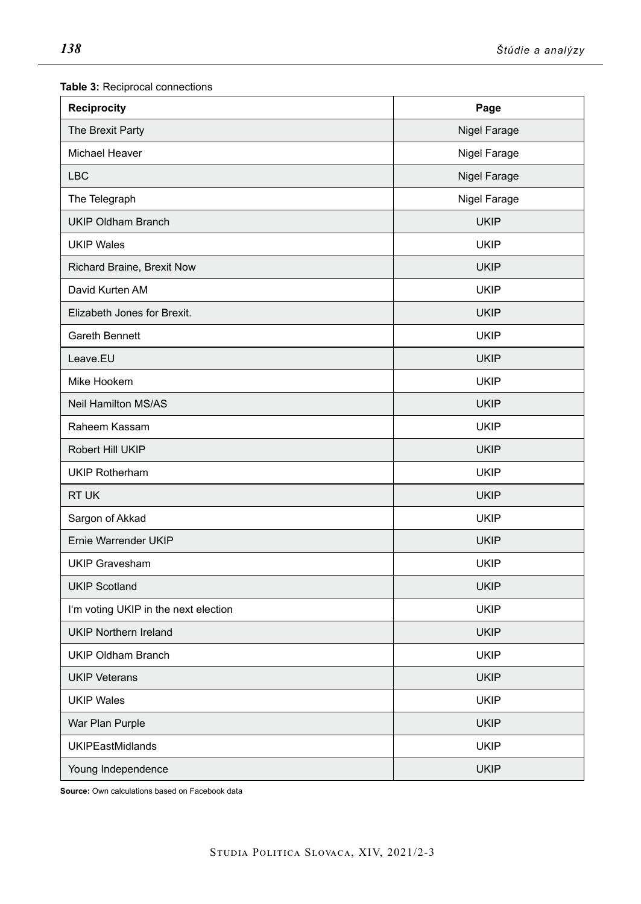| <b>Reciprocity</b><br>Page           |                     |
|--------------------------------------|---------------------|
| The Brexit Party                     | <b>Nigel Farage</b> |
| <b>Michael Heaver</b>                | Nigel Farage        |
| <b>LBC</b>                           | Nigel Farage        |
| The Telegraph                        | Nigel Farage        |
| <b>UKIP Oldham Branch</b>            | <b>UKIP</b>         |
| <b>UKIP Wales</b>                    | <b>UKIP</b>         |
| Richard Braine, Brexit Now           | <b>UKIP</b>         |
| David Kurten AM                      | <b>UKIP</b>         |
| Elizabeth Jones for Brexit.          | <b>UKIP</b>         |
| Gareth Bennett                       | <b>UKIP</b>         |
| Leave.EU                             | <b>UKIP</b>         |
| Mike Hookem                          | <b>UKIP</b>         |
| <b>Neil Hamilton MS/AS</b>           | <b>UKIP</b>         |
| Raheem Kassam                        | <b>UKIP</b>         |
| Robert Hill UKIP                     | <b>UKIP</b>         |
| <b>UKIP Rotherham</b>                | <b>UKIP</b>         |
| RT UK                                | <b>UKIP</b>         |
| Sargon of Akkad                      | <b>UKIP</b>         |
| Ernie Warrender UKIP                 | <b>UKIP</b>         |
| <b>UKIP Gravesham</b>                | <b>UKIP</b>         |
| <b>UKIP Scotland</b>                 | <b>UKIP</b>         |
| I'm voting UKIP in the next election | <b>UKIP</b>         |
| <b>UKIP Northern Ireland</b>         | <b>UKIP</b>         |
| UKIP Oldham Branch                   | <b>UKIP</b>         |
| <b>UKIP Veterans</b>                 | <b>UKIP</b>         |
| <b>UKIP Wales</b>                    | <b>UKIP</b>         |
| War Plan Purple                      | <b>UKIP</b>         |
| <b>UKIPEastMidlands</b>              | <b>UKIP</b>         |
| Young Independence                   | <b>UKIP</b>         |

**Table 3:** Reciprocal connections

**Source:** Own calculations based on Facebook data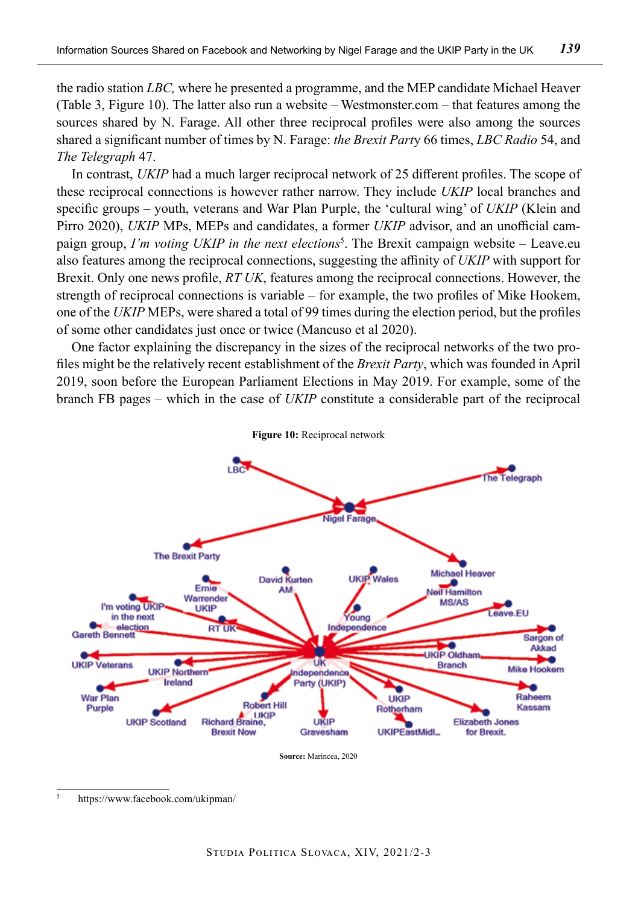the radio station *LBC,* where he presented a programme, and the MEP candidate Michael Heaver (Table 3, Figure 10). The latter also run a website – Westmonster.com – that features among the sources shared by N. Farage. All other three reciprocal profiles were also among the sources shared a significant number of times by N. Farage: *the Brexit Part*y 66 times, *LBC Radio* 54, and *The Telegraph* 47.

In contrast, *UKIP* had a much larger reciprocal network of 25 different profiles. The scope of these reciprocal connections is however rather narrow. They include *UKIP* local branches and specific groups – youth, veterans and War Plan Purple, the 'cultural wing' of *UKIP* (Klein and Pirro 2020), *UKIP* MPs, MEPs and candidates, a former *UKIP* advisor, and an unofficial campaign group, *I'm voting UKIP in the next elections*<sup>5</sup> . The Brexit campaign website – Leave.eu also features among the reciprocal connections, suggesting the affinity of *UKIP* with support for Brexit. Only one news profile, *RT UK*, features among the reciprocal connections. However, the strength of reciprocal connections is variable – for example, the two profiles of Mike Hookem, one of the *UKIP* MEPs, were shared a total of 99 times during the election period, but the profiles of some other candidates just once or twice (Mancuso et al 2020).

One factor explaining the discrepancy in the sizes of the reciprocal networks of the two profiles might be the relatively recent establishment of the *Brexit Party*, which was founded in April 2019, soon before the European Parliament Elections in May 2019. For example, some of the branch FB pages – which in the case of *UKIP* constitute a considerable part of the reciprocal



**Source:** Marincea, 2020

<sup>5</sup> https://www.facebook.com/ukipman/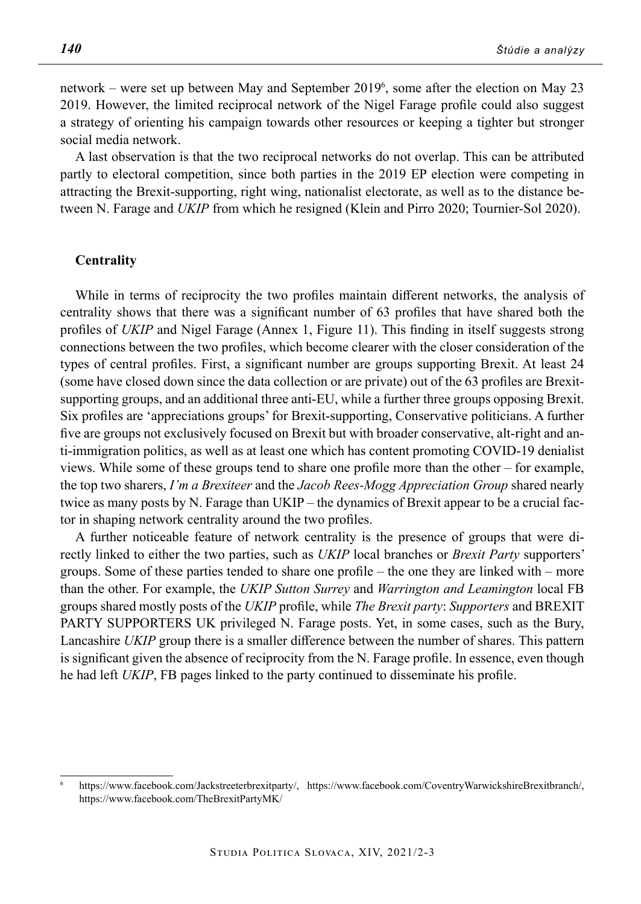network – were set up between May and September 20196 , some after the election on May 23 2019. However, the limited reciprocal network of the Nigel Farage profile could also suggest a strategy of orienting his campaign towards other resources or keeping a tighter but stronger social media network.

A last observation is that the two reciprocal networks do not overlap. This can be attributed partly to electoral competition, since both parties in the 2019 EP election were competing in attracting the Brexit-supporting, right wing, nationalist electorate, as well as to the distance between N. Farage and *UKIP* from which he resigned (Klein and Pirro 2020; Tournier-Sol 2020).

## **Centrality**

While in terms of reciprocity the two profiles maintain different networks, the analysis of centrality shows that there was a significant number of 63 profiles that have shared both the profiles of *UKIP* and Nigel Farage (Annex 1, Figure 11). This finding in itself suggests strong connections between the two profiles, which become clearer with the closer consideration of the types of central profiles. First, a significant number are groups supporting Brexit. At least 24 (some have closed down since the data collection or are private) out of the 63 profiles are Brexitsupporting groups, and an additional three anti-EU, while a further three groups opposing Brexit. Six profiles are 'appreciations groups' for Brexit-supporting, Conservative politicians. A further five are groups not exclusively focused on Brexit but with broader conservative, alt-right and anti-immigration politics, as well as at least one which has content promoting COVID-19 denialist views. While some of these groups tend to share one profile more than the other – for example, the top two sharers, *I'm a Brexiteer* and the *Jacob Rees-Mogg Appreciation Group* shared nearly twice as many posts by N. Farage than UKIP – the dynamics of Brexit appear to be a crucial factor in shaping network centrality around the two profiles.

A further noticeable feature of network centrality is the presence of groups that were directly linked to either the two parties, such as *UKIP* local branches or *Brexit Party* supporters' groups. Some of these parties tended to share one profile – the one they are linked with – more than the other. For example, the *UKIP Sutton Surrey* and *Warrington and Leamington* local FB groups shared mostly posts of the *UKIP* profile, while *The Brexit party*: *Supporters* and BREXIT PARTY SUPPORTERS UK privileged N. Farage posts. Yet, in some cases, such as the Bury, Lancashire *UKIP* group there is a smaller difference between the number of shares. This pattern is significant given the absence of reciprocity from the N. Farage profile. In essence, even though he had left *UKIP*, FB pages linked to the party continued to disseminate his profile.

<sup>6</sup> https://www.facebook.com/Jackstreeterbrexitparty/, https://www.facebook.com/CoventryWarwickshireBrexitbranch/, https://www.facebook.com/TheBrexitPartyMK/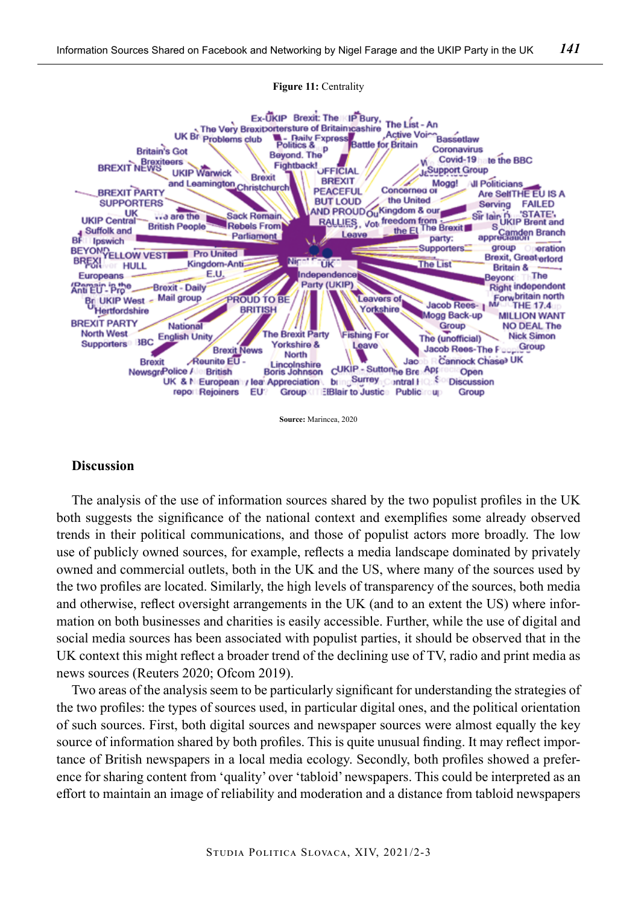

#### **Figure 11:** Centrality

**Source:** Marincea, 2020

## **Discussion**

The analysis of the use of information sources shared by the two populist profiles in the UK both suggests the significance of the national context and exemplifies some already observed trends in their political communications, and those of populist actors more broadly. The low use of publicly owned sources, for example, reflects a media landscape dominated by privately owned and commercial outlets, both in the UK and the US, where many of the sources used by the two profiles are located. Similarly, the high levels of transparency of the sources, both media and otherwise, reflect oversight arrangements in the UK (and to an extent the US) where information on both businesses and charities is easily accessible. Further, while the use of digital and social media sources has been associated with populist parties, it should be observed that in the UK context this might reflect a broader trend of the declining use of TV, radio and print media as news sources (Reuters 2020; Ofcom 2019).

Two areas of the analysis seem to be particularly significant for understanding the strategies of the two profiles: the types of sources used, in particular digital ones, and the political orientation of such sources. First, both digital sources and newspaper sources were almost equally the key source of information shared by both profiles. This is quite unusual finding. It may reflect importance of British newspapers in a local media ecology. Secondly, both profiles showed a preference for sharing content from 'quality' over 'tabloid' newspapers. This could be interpreted as an effort to maintain an image of reliability and moderation and a distance from tabloid newspapers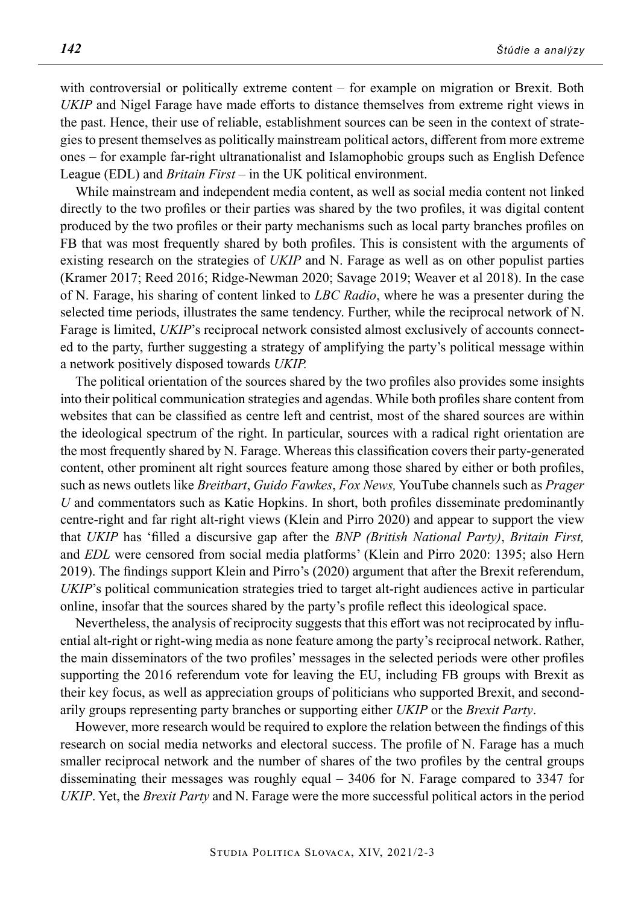with controversial or politically extreme content – for example on migration or Brexit. Both *UKIP* and Nigel Farage have made efforts to distance themselves from extreme right views in the past. Hence, their use of reliable, establishment sources can be seen in the context of strategies to present themselves as politically mainstream political actors, different from more extreme ones – for example far-right ultranationalist and Islamophobic groups such as English Defence League (EDL) and *Britain First* – in the UK political environment.

While mainstream and independent media content, as well as social media content not linked directly to the two profiles or their parties was shared by the two profiles, it was digital content produced by the two profiles or their party mechanisms such as local party branches profiles on FB that was most frequently shared by both profiles. This is consistent with the arguments of existing research on the strategies of *UKIP* and N. Farage as well as on other populist parties (Kramer 2017; Reed 2016; Ridge-Newman 2020; Savage 2019; Weaver et al 2018). In the case of N. Farage, his sharing of content linked to *LBC Radio*, where he was a presenter during the selected time periods, illustrates the same tendency. Further, while the reciprocal network of N. Farage is limited, *UKIP*'s reciprocal network consisted almost exclusively of accounts connected to the party, further suggesting a strategy of amplifying the party's political message within a network positively disposed towards *UKIP.*

The political orientation of the sources shared by the two profiles also provides some insights into their political communication strategies and agendas. While both profiles share content from websites that can be classified as centre left and centrist, most of the shared sources are within the ideological spectrum of the right. In particular, sources with a radical right orientation are the most frequently shared by N. Farage. Whereas this classification covers their party-generated content, other prominent alt right sources feature among those shared by either or both profiles, such as news outlets like *Breitbart*, *Guido Fawkes*, *Fox News,* YouTube channels such as *Prager U* and commentators such as Katie Hopkins. In short, both profiles disseminate predominantly centre-right and far right alt-right views (Klein and Pirro 2020) and appear to support the view that *UKIP* has 'filled a discursive gap after the *BNP (British National Party)*, *Britain First,* and *EDL* were censored from social media platforms' (Klein and Pirro 2020: 1395; also Hern 2019). The findings support Klein and Pirro's (2020) argument that after the Brexit referendum, *UKIP*'s political communication strategies tried to target alt-right audiences active in particular online, insofar that the sources shared by the party's profile reflect this ideological space.

Nevertheless, the analysis of reciprocity suggests that this effort was not reciprocated by influential alt-right or right-wing media as none feature among the party's reciprocal network. Rather, the main disseminators of the two profiles' messages in the selected periods were other profiles supporting the 2016 referendum vote for leaving the EU, including FB groups with Brexit as their key focus, as well as appreciation groups of politicians who supported Brexit, and secondarily groups representing party branches or supporting either *UKIP* or the *Brexit Party*.

However, more research would be required to explore the relation between the findings of this research on social media networks and electoral success. The profile of N. Farage has a much smaller reciprocal network and the number of shares of the two profiles by the central groups disseminating their messages was roughly equal – 3406 for N. Farage compared to 3347 for *UKIP*. Yet, the *Brexit Party* and N. Farage were the more successful political actors in the period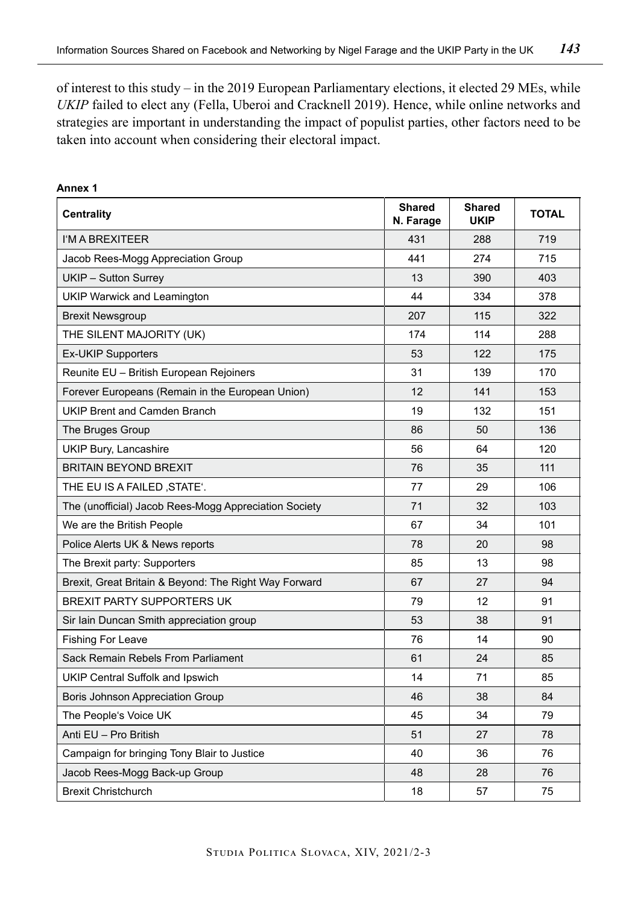of interest to this study – in the 2019 European Parliamentary elections, it elected 29 MEs, while *UKIP* failed to elect any (Fella, Uberoi and Cracknell 2019). Hence, while online networks and strategies are important in understanding the impact of populist parties, other factors need to be taken into account when considering their electoral impact.

| <b>Centrality</b>                                     | <b>Shared</b><br>N. Farage | <b>Shared</b><br><b>UKIP</b> | <b>TOTAL</b> |
|-------------------------------------------------------|----------------------------|------------------------------|--------------|
| I'M A BREXITEER                                       | 431                        | 288                          | 719          |
| Jacob Rees-Mogg Appreciation Group                    | 441                        | 274                          | 715          |
| UKIP - Sutton Surrey                                  | 13                         | 390                          | 403          |
| UKIP Warwick and Leamington                           | 44                         | 334                          | 378          |
| <b>Brexit Newsgroup</b>                               | 207                        | 115                          | 322          |
| THE SILENT MAJORITY (UK)                              | 174                        | 114                          | 288          |
| Ex-UKIP Supporters                                    | 53                         | 122                          | 175          |
| Reunite EU - British European Rejoiners               | 31                         | 139                          | 170          |
| Forever Europeans (Remain in the European Union)      | 12                         | 141                          | 153          |
| UKIP Brent and Camden Branch                          | 19                         | 132                          | 151          |
| The Bruges Group                                      | 86                         | 50                           | 136          |
| UKIP Bury, Lancashire                                 | 56                         | 64                           | 120          |
| <b>BRITAIN BEYOND BREXIT</b>                          | 76                         | 35                           | 111          |
| THE EU IS A FAILED, STATE'.                           | 77                         | 29                           | 106          |
| The (unofficial) Jacob Rees-Mogg Appreciation Society | 71                         | 32                           | 103          |
| We are the British People                             | 67                         | 34                           | 101          |
| Police Alerts UK & News reports                       | 78                         | 20                           | 98           |
| The Brexit party: Supporters                          | 85                         | 13                           | 98           |
| Brexit, Great Britain & Beyond: The Right Way Forward | 67                         | 27                           | 94           |
| <b>BREXIT PARTY SUPPORTERS UK</b>                     | 79                         | 12                           | 91           |
| Sir Iain Duncan Smith appreciation group              | 53                         | 38                           | 91           |
| <b>Fishing For Leave</b>                              | 76                         | 14                           | 90           |
| Sack Remain Rebels From Parliament                    | 61                         | 24                           | 85           |
| UKIP Central Suffolk and Ipswich                      | 14                         | 71                           | 85           |
| Boris Johnson Appreciation Group                      | 46                         | 38                           | 84           |
| The People's Voice UK                                 | 45                         | 34                           | 79           |
| Anti EU - Pro British                                 | 51                         | 27                           | 78           |
| Campaign for bringing Tony Blair to Justice           | 40                         | 36                           | 76           |
| Jacob Rees-Mogg Back-up Group                         | 48                         | 28                           | 76           |
| <b>Brexit Christchurch</b>                            | 18                         | 57                           | 75           |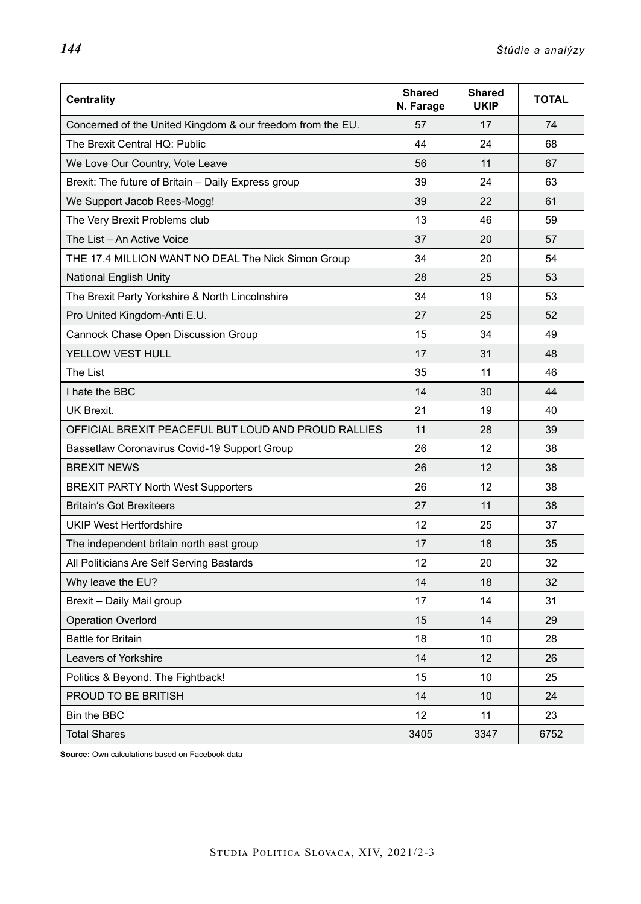| <b>Centrality</b>                                          | Shared<br>N. Farage | <b>Shared</b><br><b>UKIP</b> | <b>TOTAL</b> |
|------------------------------------------------------------|---------------------|------------------------------|--------------|
| Concerned of the United Kingdom & our freedom from the EU. | 57                  | 17                           | 74           |
| The Brexit Central HQ: Public                              | 44                  | 24                           | 68           |
| We Love Our Country, Vote Leave                            | 56                  | 11                           | 67           |
| Brexit: The future of Britain - Daily Express group        | 39                  | 24                           | 63           |
| We Support Jacob Rees-Mogg!                                | 39                  | 22                           | 61           |
| The Very Brexit Problems club                              | 13                  | 46                           | 59           |
| The List - An Active Voice                                 | 37                  | 20                           | 57           |
| THE 17.4 MILLION WANT NO DEAL The Nick Simon Group         | 34                  | 20                           | 54           |
| <b>National English Unity</b>                              | 28                  | 25                           | 53           |
| The Brexit Party Yorkshire & North Lincolnshire            | 34                  | 19                           | 53           |
| Pro United Kingdom-Anti E.U.                               | 27                  | 25                           | 52           |
| Cannock Chase Open Discussion Group                        | 15                  | 34                           | 49           |
| YELLOW VEST HULL                                           | 17                  | 31                           | 48           |
| The List                                                   | 35                  | 11                           | 46           |
| I hate the BBC                                             | 14                  | 30                           | 44           |
| <b>UK Brexit.</b>                                          | 21                  | 19                           | 40           |
| OFFICIAL BREXIT PEACEFUL BUT LOUD AND PROUD RALLIES        | 11                  | 28                           | 39           |
| Bassetlaw Coronavirus Covid-19 Support Group               | 26                  | 12                           | 38           |
| <b>BREXIT NEWS</b>                                         | 26                  | 12                           | 38           |
| <b>BREXIT PARTY North West Supporters</b>                  | 26                  | 12                           | 38           |
| <b>Britain's Got Brexiteers</b>                            | 27                  | 11                           | 38           |
| <b>UKIP West Hertfordshire</b>                             | 12                  | 25                           | 37           |
| The independent britain north east group                   | 17                  | 18                           | 35           |
| All Politicians Are Self Serving Bastards                  | 12                  | 20                           | 32           |
| Why leave the EU?                                          | 14                  | 18                           | 32           |
| Brexit - Daily Mail group                                  | 17                  | 14                           | 31           |
| <b>Operation Overlord</b>                                  | 15                  | 14                           | 29           |
| <b>Battle for Britain</b>                                  | 18                  | 10                           | 28           |
| Leavers of Yorkshire                                       | 14                  | 12                           | 26           |
| Politics & Beyond. The Fightback!                          | 15                  | 10                           | 25           |
| PROUD TO BE BRITISH                                        | 14                  | 10                           | 24           |
| Bin the BBC                                                | 12                  | 11                           | 23           |
| <b>Total Shares</b>                                        | 3405                | 3347                         | 6752         |

**Source:** Own calculations based on Facebook data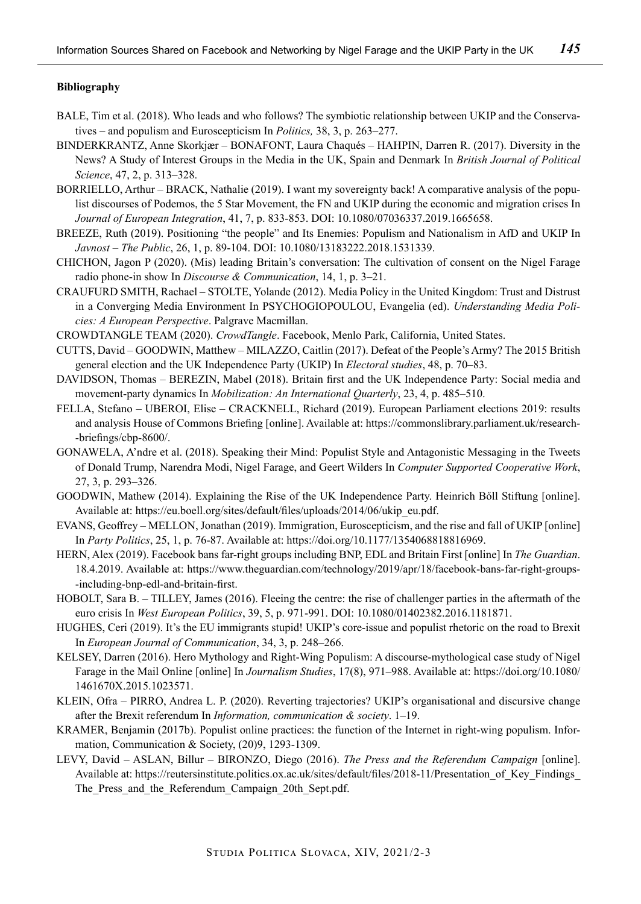#### **Bibliography**

- BALE, Tim et al. (2018). Who leads and who follows? The symbiotic relationship between UKIP and the Conservatives – and populism and Euroscepticism In *Politics,* 38, 3, p. 263–277.
- BINDERKRANTZ, Anne Skorkjær BONAFONT, Laura Chaqués HAHPIN, Darren R. (2017). Diversity in the News? A Study of Interest Groups in the Media in the UK, Spain and Denmark In *British Journal of Political Science*, 47, 2, p. 313–328.
- BORRIELLO, Arthur BRACK, Nathalie (2019). I want my sovereignty back! A comparative analysis of the populist discourses of Podemos, the 5 Star Movement, the FN and UKIP during the economic and migration crises In *Journal of European Integration*, 41, 7, p. 833-853. DOI: 10.1080/07036337.2019.1665658.
- BREEZE, Ruth (2019). Positioning "the people" and Its Enemies: Populism and Nationalism in AfD and UKIP In *Javnost – The Public*, 26, 1, p. 89-104. DOI: 10.1080/13183222.2018.1531339.
- CHICHON, Jagon P (2020). (Mis) leading Britain's conversation: The cultivation of consent on the Nigel Farage radio phone-in show In *Discourse & Communication*, 14, 1, p. 3–21.
- CRAUFURD SMITH, Rachael STOLTE, Yolande (2012). Media Policy in the United Kingdom: Trust and Distrust in a Converging Media Environment In PSYCHOGIOPOULOU, Evangelia (ed). *Understanding Media Policies: A European Perspective*. Palgrave Macmillan.
- CROWDTANGLE TEAM (2020). *CrowdTangle*. Facebook, Menlo Park, California, United States.
- CUTTS, David GOODWIN, Matthew MILAZZO, Caitlin (2017). Defeat of the People's Army? The 2015 British general election and the UK Independence Party (UKIP) In *Electoral studies*, 48, p. 70–83.
- DAVIDSON, Thomas BEREZIN, Mabel (2018). Britain first and the UK Independence Party: Social media and movement-party dynamics In *Mobilization: An International Quarterly*, 23, 4, p. 485–510.
- FELLA, Stefano UBEROI, Elise CRACKNELL, Richard (2019). European Parliament elections 2019: results and analysis House of Commons Briefing [online]. Available at: https://commonslibrary.parliament.uk/research- -briefings/cbp-8600/.
- GONAWELA, A'ndre et al. (2018). Speaking their Mind: Populist Style and Antagonistic Messaging in the Tweets of Donald Trump, Narendra Modi, Nigel Farage, and Geert Wilders In *Computer Supported Cooperative Work*, 27, 3, p. 293–326.
- GOODWIN, Mathew (2014). Explaining the Rise of the UK Independence Party. Heinrich Bőll Stiftung [online]. Available at: https://eu.boell.org/sites/default/files/uploads/2014/06/ukip\_eu.pdf.
- EVANS, Geoffrey MELLON, Jonathan (2019). Immigration, Euroscepticism, and the rise and fall of UKIP [online] In *Party Politics*, 25, 1, p. 76-87. Available at: https://doi.org/10.1177/1354068818816969.
- HERN, Alex (2019). Facebook bans far-right groups including BNP, EDL and Britain First [online] In *The Guardian*. 18.4.2019. Available at: https://www.theguardian.com/technology/2019/apr/18/facebook-bans-far-right-groups- -including-bnp-edl-and-britain-first.
- HOBOLT, Sara B. TILLEY, James (2016). Fleeing the centre: the rise of challenger parties in the aftermath of the euro crisis In *West European Politics*, 39, 5, p. 971-991. DOI: 10.1080/01402382.2016.1181871.
- HUGHES, Ceri (2019). It's the EU immigrants stupid! UKIP's core-issue and populist rhetoric on the road to Brexit In *European Journal of Communication*, 34, 3, p. 248–266.
- KELSEY, Darren (2016). Hero Mythology and Right-Wing Populism: A discourse-mythological case study of Nigel Farage in the Mail Online [online] In *Journalism Studies*, 17(8), 971–988. Available at: https://doi.org/10.1080/ 1461670X.2015.1023571.
- KLEIN, Ofra PIRRO, Andrea L. P. (2020). Reverting trajectories? UKIP's organisational and discursive change after the Brexit referendum In *Information, communication & society*. 1–19.
- KRAMER, Benjamin (2017b). Populist online practices: the function of the Internet in right-wing populism. Information, Communication & Society, (20)9, 1293-1309.
- LEVY, David ASLAN, Billur BIRONZO, Diego (2016). *The Press and the Referendum Campaign* [online]. Available at: https://reutersinstitute.politics.ox.ac.uk/sites/default/files/2018-11/Presentation of Key Findings The Press and the Referendum Campaign 20th Sept.pdf.